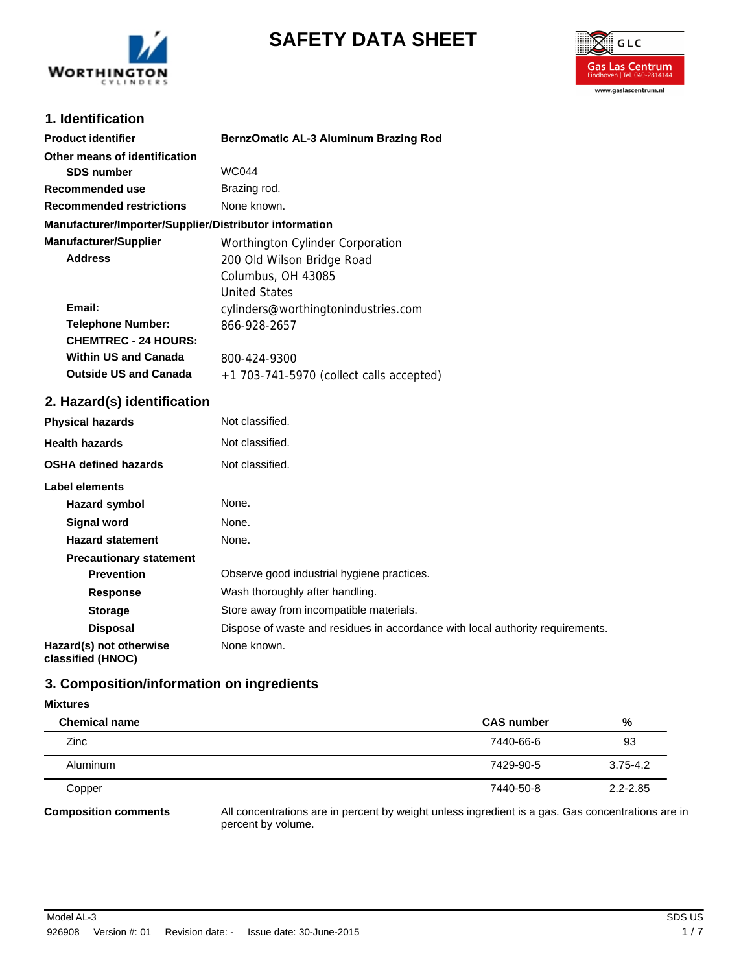

# **SAFETY DATA SHEET**



### **1. Identification**

| <b>Product identifier</b>                              | <b>BernzOmatic AL-3 Aluminum Brazing Rod</b> |
|--------------------------------------------------------|----------------------------------------------|
| Other means of identification                          |                                              |
| <b>SDS number</b>                                      | WC044                                        |
| Recommended use                                        | Brazing rod.                                 |
| <b>Recommended restrictions</b>                        | None known.                                  |
| Manufacturer/Importer/Supplier/Distributor information |                                              |
| <b>Manufacturer/Supplier</b>                           | Worthington Cylinder Corporation             |
| <b>Address</b>                                         | 200 Old Wilson Bridge Road                   |
|                                                        | Columbus, OH 43085                           |
|                                                        | <b>United States</b>                         |
| Email:                                                 | cylinders@worthingtonindustries.com          |
| <b>Telephone Number:</b>                               | 866-928-2657                                 |
| <b>CHEMTREC - 24 HOURS:</b>                            |                                              |
| <b>Within US and Canada</b>                            | 800-424-9300                                 |
| <b>Outside US and Canada</b>                           | $+1$ 703-741-5970 (collect calls accepted)   |
| 2. Hazard(s) identification                            |                                              |
| <b>Physical hazards</b>                                | Not classified.                              |

# **Health hazards** Not classified. **OSHA defined hazards** Not classified. **Label elements Hazard symbol** None. **Signal word** None. **Hazard statement** None. **Precautionary statement Prevention C** Observe good industrial hygiene practices. **Response** Wash thoroughly after handling. **Storage** Store away from incompatible materials. **Disposal** Dispose of waste and residues in accordance with local authority requirements. **Hazard(s) not otherwise classified (HNOC)** None known.

# **3. Composition/information on ingredients**

#### **Mixtures**

| <b>Chemical name</b> | <b>CAS number</b> | %            |
|----------------------|-------------------|--------------|
| Zinc                 | 7440-66-6         | 93           |
| Aluminum             | 7429-90-5         | $3.75 - 4.2$ |
| Copper               | 7440-50-8         | $2.2 - 2.85$ |

#### **Composition comments**

All concentrations are in percent by weight unless ingredient is a gas. Gas concentrations are in percent by volume.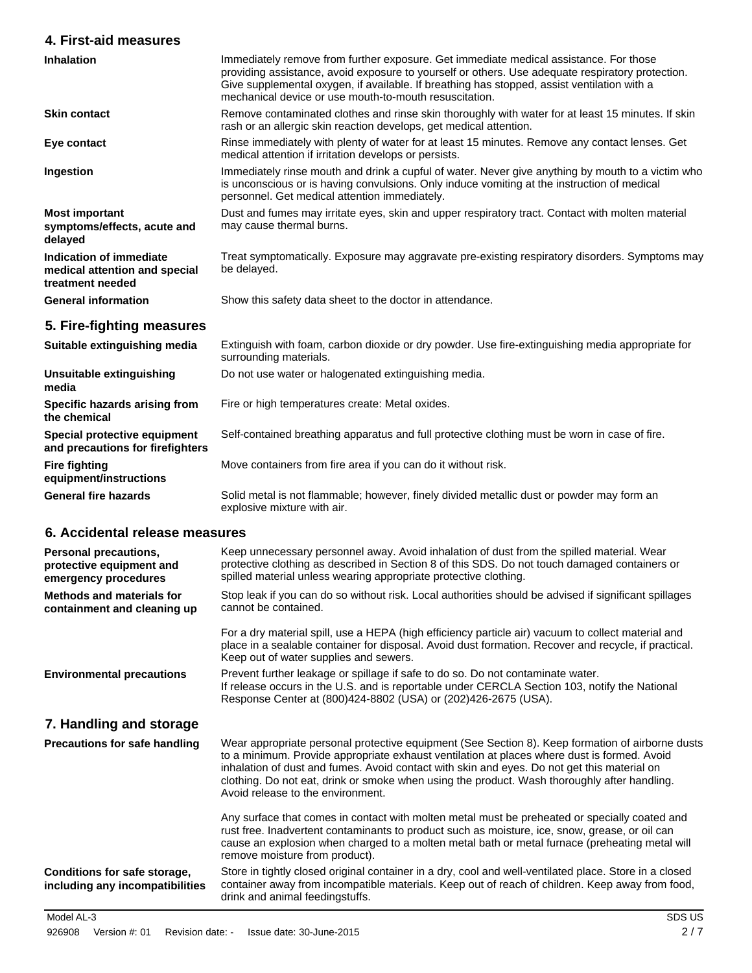# **4. First-aid measures**

| <b>Inhalation</b>                                                            | Immediately remove from further exposure. Get immediate medical assistance. For those<br>providing assistance, avoid exposure to yourself or others. Use adequate respiratory protection.<br>Give supplemental oxygen, if available. If breathing has stopped, assist ventilation with a<br>mechanical device or use mouth-to-mouth resuscitation. |
|------------------------------------------------------------------------------|----------------------------------------------------------------------------------------------------------------------------------------------------------------------------------------------------------------------------------------------------------------------------------------------------------------------------------------------------|
| <b>Skin contact</b>                                                          | Remove contaminated clothes and rinse skin thoroughly with water for at least 15 minutes. If skin<br>rash or an allergic skin reaction develops, get medical attention.                                                                                                                                                                            |
| Eye contact                                                                  | Rinse immediately with plenty of water for at least 15 minutes. Remove any contact lenses. Get<br>medical attention if irritation develops or persists.                                                                                                                                                                                            |
| Ingestion                                                                    | Immediately rinse mouth and drink a cupful of water. Never give anything by mouth to a victim who<br>is unconscious or is having convulsions. Only induce vomiting at the instruction of medical<br>personnel. Get medical attention immediately.                                                                                                  |
| <b>Most important</b><br>symptoms/effects, acute and<br>delayed              | Dust and fumes may irritate eyes, skin and upper respiratory tract. Contact with molten material<br>may cause thermal burns.                                                                                                                                                                                                                       |
| Indication of immediate<br>medical attention and special<br>treatment needed | Treat symptomatically. Exposure may aggravate pre-existing respiratory disorders. Symptoms may<br>be delayed.                                                                                                                                                                                                                                      |
| <b>General information</b>                                                   | Show this safety data sheet to the doctor in attendance.                                                                                                                                                                                                                                                                                           |
| 5. Fire-fighting measures                                                    |                                                                                                                                                                                                                                                                                                                                                    |
| Suitable extinguishing media                                                 | Extinguish with foam, carbon dioxide or dry powder. Use fire-extinguishing media appropriate for<br>surrounding materials.                                                                                                                                                                                                                         |
| Unsuitable extinguishing<br>media                                            | Do not use water or halogenated extinguishing media.                                                                                                                                                                                                                                                                                               |
| Specific hazards arising from<br>the chemical                                | Fire or high temperatures create: Metal oxides.                                                                                                                                                                                                                                                                                                    |
| Special protective equipment<br>and precautions for firefighters             | Self-contained breathing apparatus and full protective clothing must be worn in case of fire.                                                                                                                                                                                                                                                      |
| <b>Fire fighting</b><br>equipment/instructions                               | Move containers from fire area if you can do it without risk.                                                                                                                                                                                                                                                                                      |
| <b>General fire hazards</b>                                                  | Solid metal is not flammable; however, finely divided metallic dust or powder may form an<br>explosive mixture with air.                                                                                                                                                                                                                           |
| 6. Accidental release measures                                               |                                                                                                                                                                                                                                                                                                                                                    |
|                                                                              |                                                                                                                                                                                                                                                                                                                                                    |

| Personal precautions,<br>protective equipment and<br>emergency procedures | Keep unnecessary personnel away. Avoid inhalation of dust from the spilled material. Wear<br>protective clothing as described in Section 8 of this SDS. Do not touch damaged containers or<br>spilled material unless wearing appropriate protective clothing.                                                                                                                                                                      |
|---------------------------------------------------------------------------|-------------------------------------------------------------------------------------------------------------------------------------------------------------------------------------------------------------------------------------------------------------------------------------------------------------------------------------------------------------------------------------------------------------------------------------|
| Methods and materials for<br>containment and cleaning up                  | Stop leak if you can do so without risk. Local authorities should be advised if significant spillages<br>cannot be contained.                                                                                                                                                                                                                                                                                                       |
|                                                                           | For a dry material spill, use a HEPA (high efficiency particle air) vacuum to collect material and<br>place in a sealable container for disposal. Avoid dust formation. Recover and recycle, if practical.<br>Keep out of water supplies and sewers.                                                                                                                                                                                |
| <b>Environmental precautions</b>                                          | Prevent further leakage or spillage if safe to do so. Do not contaminate water.<br>If release occurs in the U.S. and is reportable under CERCLA Section 103, notify the National<br>Response Center at (800)424-8802 (USA) or (202)426-2675 (USA).                                                                                                                                                                                  |
| 7. Handling and storage                                                   |                                                                                                                                                                                                                                                                                                                                                                                                                                     |
| <b>Precautions for safe handling</b>                                      | Wear appropriate personal protective equipment (See Section 8). Keep formation of airborne dusts<br>to a minimum. Provide appropriate exhaust ventilation at places where dust is formed. Avoid<br>inhalation of dust and fumes. Avoid contact with skin and eyes. Do not get this material on<br>clothing. Do not eat, drink or smoke when using the product. Wash thoroughly after handling.<br>Avoid release to the environment. |
|                                                                           | Any surface that comes in contact with molten metal must be preheated or specially coated and<br>rust free. Inadvertent contaminants to product such as moisture, ice, snow, grease, or oil can<br>cause an explosion when charged to a molten metal bath or metal furnace (preheating metal will<br>remove moisture from product).                                                                                                 |
| Conditions for safe storage,<br>including any incompatibilities           | Store in tightly closed original container in a dry, cool and well-ventilated place. Store in a closed<br>container away from incompatible materials. Keep out of reach of children. Keep away from food,<br>drink and animal feedingstuffs.                                                                                                                                                                                        |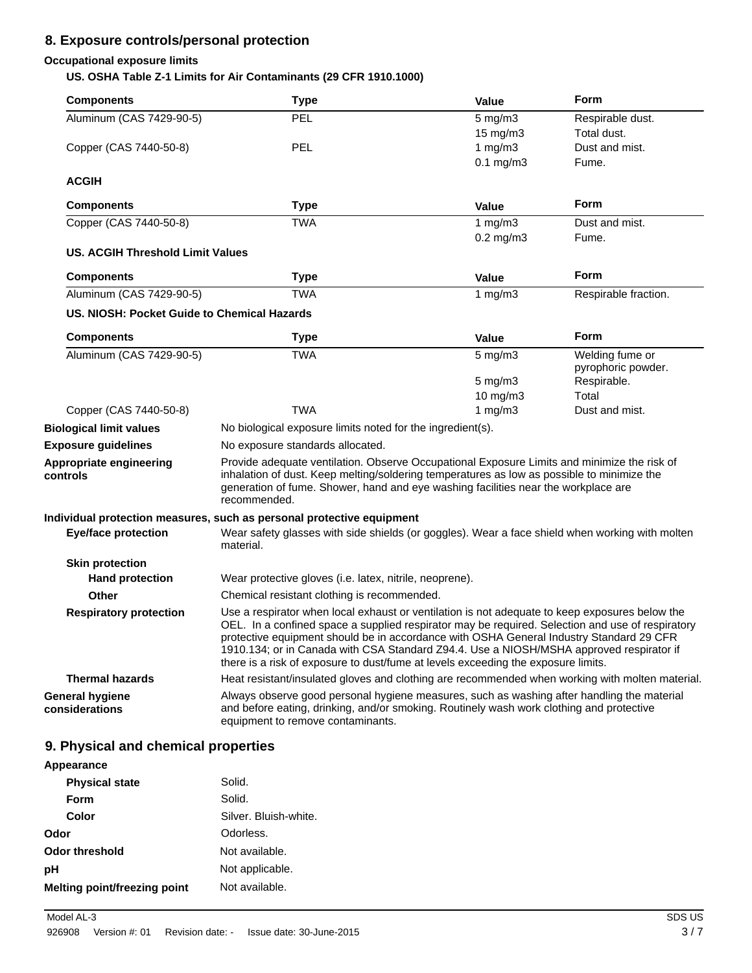# **8. Exposure controls/personal protection**

# **Occupational exposure limits**

**US. OSHA Table Z-1 Limits for Air Contaminants (29 CFR 1910.1000)**

| <b>Components</b>                           | <b>Type</b>                                                                                                                                                                                                                                                                                                                                                                                                                                                                   | <b>Value</b>     | Form                              |  |
|---------------------------------------------|-------------------------------------------------------------------------------------------------------------------------------------------------------------------------------------------------------------------------------------------------------------------------------------------------------------------------------------------------------------------------------------------------------------------------------------------------------------------------------|------------------|-----------------------------------|--|
| Aluminum (CAS 7429-90-5)                    | PEL                                                                                                                                                                                                                                                                                                                                                                                                                                                                           | $5 \text{ mg/m}$ | Respirable dust.                  |  |
|                                             |                                                                                                                                                                                                                                                                                                                                                                                                                                                                               | 15 mg/m3         | Total dust.                       |  |
| Copper (CAS 7440-50-8)                      | PEL                                                                                                                                                                                                                                                                                                                                                                                                                                                                           | 1 $mg/m3$        | Dust and mist.                    |  |
|                                             |                                                                                                                                                                                                                                                                                                                                                                                                                                                                               | $0.1$ mg/m $3$   | Fume.                             |  |
| <b>ACGIH</b>                                |                                                                                                                                                                                                                                                                                                                                                                                                                                                                               |                  |                                   |  |
| <b>Components</b>                           | <b>Type</b>                                                                                                                                                                                                                                                                                                                                                                                                                                                                   | <b>Value</b>     | <b>Form</b>                       |  |
| Copper (CAS 7440-50-8)                      | <b>TWA</b>                                                                                                                                                                                                                                                                                                                                                                                                                                                                    | 1 $mg/m3$        | Dust and mist.                    |  |
| <b>US. ACGIH Threshold Limit Values</b>     |                                                                                                                                                                                                                                                                                                                                                                                                                                                                               | $0.2$ mg/m $3$   | Fume.                             |  |
| <b>Components</b>                           | <b>Type</b>                                                                                                                                                                                                                                                                                                                                                                                                                                                                   | Value            | Form                              |  |
| Aluminum (CAS 7429-90-5)                    | <b>TWA</b>                                                                                                                                                                                                                                                                                                                                                                                                                                                                    | 1 $mg/m3$        | Respirable fraction.              |  |
| US. NIOSH: Pocket Guide to Chemical Hazards |                                                                                                                                                                                                                                                                                                                                                                                                                                                                               |                  |                                   |  |
| <b>Components</b>                           | <b>Type</b>                                                                                                                                                                                                                                                                                                                                                                                                                                                                   | Value            | <b>Form</b>                       |  |
| Aluminum (CAS 7429-90-5)                    | <b>TWA</b>                                                                                                                                                                                                                                                                                                                                                                                                                                                                    | $5 \text{ mg/m}$ | Welding fume or                   |  |
|                                             |                                                                                                                                                                                                                                                                                                                                                                                                                                                                               | $5$ mg/m $3$     | pyrophoric powder.<br>Respirable. |  |
|                                             |                                                                                                                                                                                                                                                                                                                                                                                                                                                                               | $10$ mg/m $3$    | Total                             |  |
| Copper (CAS 7440-50-8)                      | <b>TWA</b>                                                                                                                                                                                                                                                                                                                                                                                                                                                                    | 1 $mg/m3$        | Dust and mist.                    |  |
| <b>Biological limit values</b>              | No biological exposure limits noted for the ingredient(s).                                                                                                                                                                                                                                                                                                                                                                                                                    |                  |                                   |  |
| <b>Exposure guidelines</b>                  | No exposure standards allocated.                                                                                                                                                                                                                                                                                                                                                                                                                                              |                  |                                   |  |
| Appropriate engineering                     | Provide adequate ventilation. Observe Occupational Exposure Limits and minimize the risk of                                                                                                                                                                                                                                                                                                                                                                                   |                  |                                   |  |
| controls                                    | inhalation of dust. Keep melting/soldering temperatures as low as possible to minimize the<br>generation of fume. Shower, hand and eye washing facilities near the workplace are<br>recommended.                                                                                                                                                                                                                                                                              |                  |                                   |  |
|                                             | Individual protection measures, such as personal protective equipment                                                                                                                                                                                                                                                                                                                                                                                                         |                  |                                   |  |
| <b>Eye/face protection</b>                  | Wear safety glasses with side shields (or goggles). Wear a face shield when working with molten<br>material.                                                                                                                                                                                                                                                                                                                                                                  |                  |                                   |  |
| <b>Skin protection</b>                      |                                                                                                                                                                                                                                                                                                                                                                                                                                                                               |                  |                                   |  |
| <b>Hand protection</b>                      | Wear protective gloves (i.e. latex, nitrile, neoprene).                                                                                                                                                                                                                                                                                                                                                                                                                       |                  |                                   |  |
| <b>Other</b>                                | Chemical resistant clothing is recommended.                                                                                                                                                                                                                                                                                                                                                                                                                                   |                  |                                   |  |
| <b>Respiratory protection</b>               | Use a respirator when local exhaust or ventilation is not adequate to keep exposures below the<br>OEL. In a confined space a supplied respirator may be required. Selection and use of respiratory<br>protective equipment should be in accordance with OSHA General Industry Standard 29 CFR<br>1910.134; or in Canada with CSA Standard Z94.4. Use a NIOSH/MSHA approved respirator if<br>there is a risk of exposure to dust/fume at levels exceeding the exposure limits. |                  |                                   |  |
| <b>Thermal hazards</b>                      | Heat resistant/insulated gloves and clothing are recommended when working with molten material.                                                                                                                                                                                                                                                                                                                                                                               |                  |                                   |  |
| <b>General hygiene</b><br>considerations    | Always observe good personal hygiene measures, such as washing after handling the material<br>and before eating, drinking, and/or smoking. Routinely wash work clothing and protective<br>equipment to remove contaminants.                                                                                                                                                                                                                                                   |                  |                                   |  |
|                                             |                                                                                                                                                                                                                                                                                                                                                                                                                                                                               |                  |                                   |  |

# **9. Physical and chemical properties**

| Appearance                   |                       |
|------------------------------|-----------------------|
| <b>Physical state</b>        | Solid.                |
| <b>Form</b>                  | Solid.                |
| Color                        | Silver, Bluish-white. |
| Odor                         | Odorless.             |
| Odor threshold               | Not available.        |
| рH                           | Not applicable.       |
| Melting point/freezing point | Not available.        |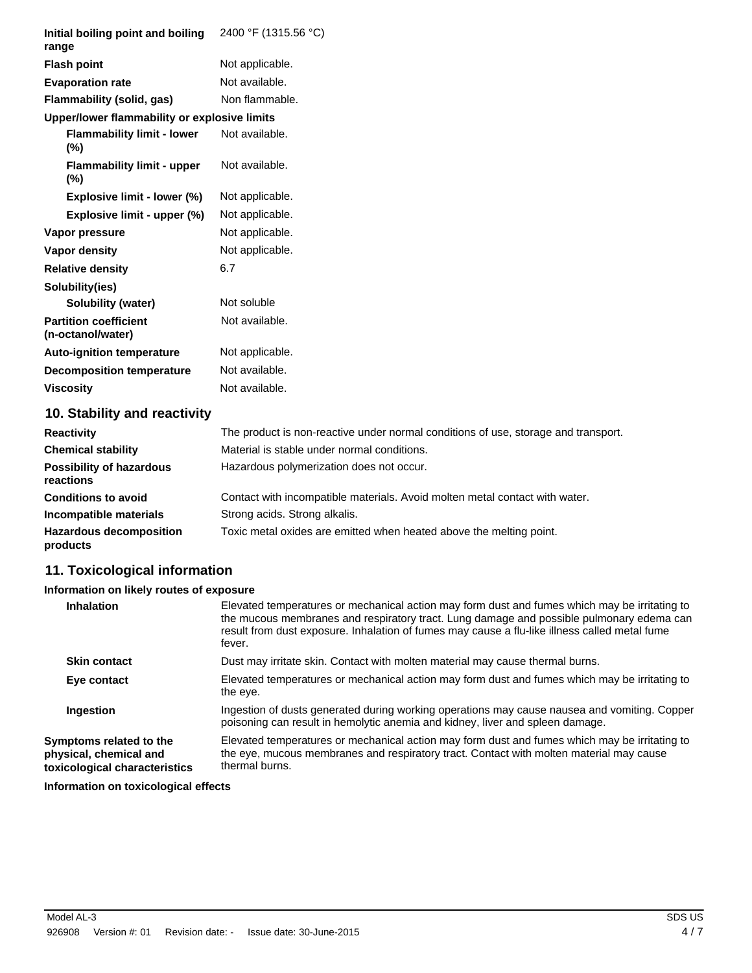| Initial boiling point and boiling<br>range        | 2400 °F (1315.56 °C) |  |
|---------------------------------------------------|----------------------|--|
| <b>Flash point</b>                                | Not applicable.      |  |
| <b>Evaporation rate</b>                           | Not available.       |  |
| Non flammable.<br>Flammability (solid, gas)       |                      |  |
| Upper/lower flammability or explosive limits      |                      |  |
| <b>Flammability limit - lower</b><br>$(\%)$       | Not available.       |  |
| <b>Flammability limit - upper</b><br>$(\%)$       | Not available.       |  |
| Explosive limit - lower (%)                       | Not applicable.      |  |
| Explosive limit - upper (%)                       | Not applicable.      |  |
| Vapor pressure                                    | Not applicable.      |  |
| Vapor density                                     | Not applicable.      |  |
| <b>Relative density</b>                           | 6.7                  |  |
| Solubility(ies)                                   |                      |  |
| Solubility (water)                                | Not soluble          |  |
| <b>Partition coefficient</b><br>(n-octanol/water) | Not available.       |  |
| <b>Auto-ignition temperature</b>                  | Not applicable.      |  |
| <b>Decomposition temperature</b>                  | Not available.       |  |
| <b>Viscosity</b>                                  | Not available.       |  |
| 10 Stability and reactivity                       |                      |  |

## **10. Stability and reactivity**

| <b>Reactivity</b>                            | The product is non-reactive under normal conditions of use, storage and transport. |
|----------------------------------------------|------------------------------------------------------------------------------------|
| <b>Chemical stability</b>                    | Material is stable under normal conditions.                                        |
| <b>Possibility of hazardous</b><br>reactions | Hazardous polymerization does not occur.                                           |
| <b>Conditions to avoid</b>                   | Contact with incompatible materials. Avoid molten metal contact with water.        |
| Incompatible materials                       | Strong acids. Strong alkalis.                                                      |
| <b>Hazardous decomposition</b><br>products   | Toxic metal oxides are emitted when heated above the melting point.                |

# **11. Toxicological information**

# **Information on likely routes of exposure**

| <b>Inhalation</b>                                                                  | Elevated temperatures or mechanical action may form dust and fumes which may be irritating to<br>the mucous membranes and respiratory tract. Lung damage and possible pulmonary edema can<br>result from dust exposure. Inhalation of fumes may cause a flu-like illness called metal fume<br>fever. |
|------------------------------------------------------------------------------------|------------------------------------------------------------------------------------------------------------------------------------------------------------------------------------------------------------------------------------------------------------------------------------------------------|
| <b>Skin contact</b>                                                                | Dust may irritate skin. Contact with molten material may cause thermal burns.                                                                                                                                                                                                                        |
| Eye contact                                                                        | Elevated temperatures or mechanical action may form dust and fumes which may be irritating to<br>the eye.                                                                                                                                                                                            |
| Ingestion                                                                          | Ingestion of dusts generated during working operations may cause nausea and vomiting. Copper<br>poisoning can result in hemolytic anemia and kidney, liver and spleen damage.                                                                                                                        |
| Symptoms related to the<br>physical, chemical and<br>toxicological characteristics | Elevated temperatures or mechanical action may form dust and fumes which may be irritating to<br>the eye, mucous membranes and respiratory tract. Contact with molten material may cause<br>thermal burns.                                                                                           |

**Information on toxicological effects**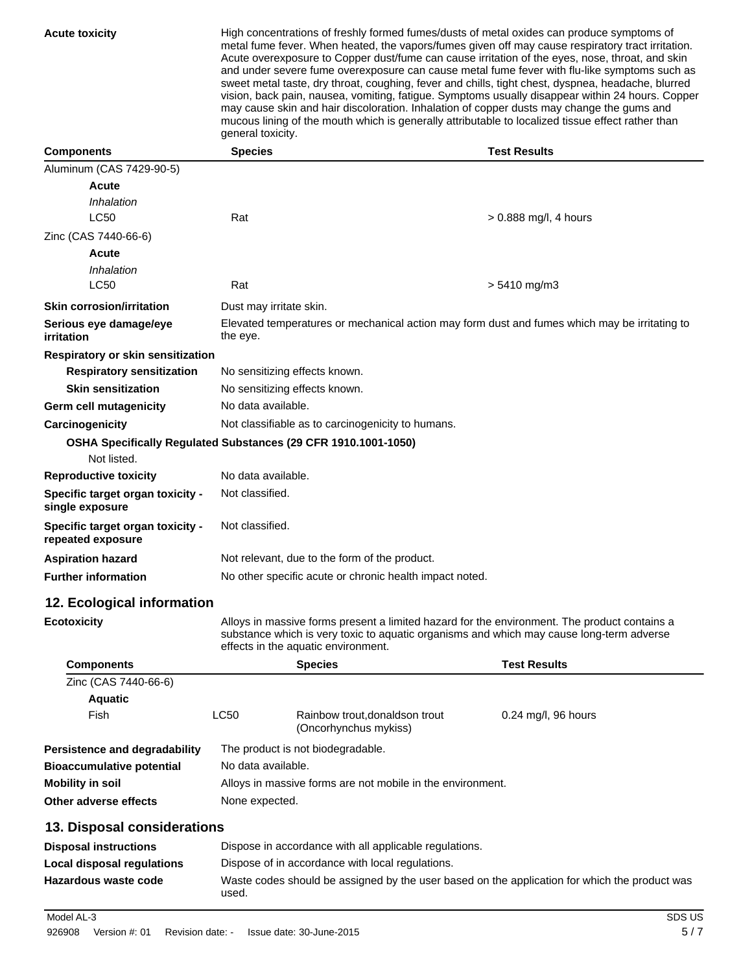Acute toxicity **High concentrations of freshly formed fumes/dusts of metal oxides can produce symptoms of** metal fume fever. When heated, the vapors/fumes given off may cause respiratory tract irritation. Acute overexposure to Copper dust/fume can cause irritation of the eyes, nose, throat, and skin and under severe fume overexposure can cause metal fume fever with flu-like symptoms such as sweet metal taste, dry throat, coughing, fever and chills, tight chest, dyspnea, headache, blurred vision, back pain, nausea, vomiting, fatigue. Symptoms usually disappear within 24 hours. Copper may cause skin and hair discoloration. Inhalation of copper dusts may change the gums and mucous lining of the mouth which is generally attributable to localized tissue effect rather than general toxicity.

| <b>Components</b>                                              | <b>Species</b>                                                                                                                                                                                                                  |                                                            | <b>Test Results</b>                                                                           |
|----------------------------------------------------------------|---------------------------------------------------------------------------------------------------------------------------------------------------------------------------------------------------------------------------------|------------------------------------------------------------|-----------------------------------------------------------------------------------------------|
| Aluminum (CAS 7429-90-5)                                       |                                                                                                                                                                                                                                 |                                                            |                                                                                               |
| Acute                                                          |                                                                                                                                                                                                                                 |                                                            |                                                                                               |
| Inhalation                                                     |                                                                                                                                                                                                                                 |                                                            |                                                                                               |
| <b>LC50</b>                                                    | Rat                                                                                                                                                                                                                             |                                                            | $> 0.888$ mg/l, 4 hours                                                                       |
| Zinc (CAS 7440-66-6)                                           |                                                                                                                                                                                                                                 |                                                            |                                                                                               |
| Acute                                                          |                                                                                                                                                                                                                                 |                                                            |                                                                                               |
| Inhalation                                                     |                                                                                                                                                                                                                                 |                                                            |                                                                                               |
| LC50                                                           | Rat                                                                                                                                                                                                                             |                                                            | > 5410 mg/m3                                                                                  |
| <b>Skin corrosion/irritation</b>                               | Dust may irritate skin.                                                                                                                                                                                                         |                                                            |                                                                                               |
| Serious eye damage/eye<br>irritation                           | the eye.                                                                                                                                                                                                                        |                                                            | Elevated temperatures or mechanical action may form dust and fumes which may be irritating to |
| <b>Respiratory or skin sensitization</b>                       |                                                                                                                                                                                                                                 |                                                            |                                                                                               |
| <b>Respiratory sensitization</b>                               | No sensitizing effects known.                                                                                                                                                                                                   |                                                            |                                                                                               |
| <b>Skin sensitization</b>                                      | No sensitizing effects known.                                                                                                                                                                                                   |                                                            |                                                                                               |
| Germ cell mutagenicity                                         | No data available.                                                                                                                                                                                                              |                                                            |                                                                                               |
| Carcinogenicity                                                |                                                                                                                                                                                                                                 | Not classifiable as to carcinogenicity to humans.          |                                                                                               |
| OSHA Specifically Regulated Substances (29 CFR 1910.1001-1050) |                                                                                                                                                                                                                                 |                                                            |                                                                                               |
| Not listed.                                                    |                                                                                                                                                                                                                                 |                                                            |                                                                                               |
| <b>Reproductive toxicity</b>                                   | No data available.                                                                                                                                                                                                              |                                                            |                                                                                               |
| Specific target organ toxicity -<br>single exposure            | Not classified.                                                                                                                                                                                                                 |                                                            |                                                                                               |
| Specific target organ toxicity -<br>repeated exposure          | Not classified.                                                                                                                                                                                                                 |                                                            |                                                                                               |
| <b>Aspiration hazard</b>                                       |                                                                                                                                                                                                                                 | Not relevant, due to the form of the product.              |                                                                                               |
| <b>Further information</b>                                     | No other specific acute or chronic health impact noted.                                                                                                                                                                         |                                                            |                                                                                               |
| 12. Ecological information                                     |                                                                                                                                                                                                                                 |                                                            |                                                                                               |
| <b>Ecotoxicity</b>                                             | Alloys in massive forms present a limited hazard for the environment. The product contains a<br>substance which is very toxic to aquatic organisms and which may cause long-term adverse<br>effects in the aquatic environment. |                                                            |                                                                                               |
| <b>Components</b>                                              |                                                                                                                                                                                                                                 | <b>Species</b>                                             | <b>Test Results</b>                                                                           |
| Zinc (CAS 7440-66-6)                                           |                                                                                                                                                                                                                                 |                                                            |                                                                                               |
| <b>Aquatic</b>                                                 |                                                                                                                                                                                                                                 |                                                            |                                                                                               |
| Fish                                                           | <b>LC50</b>                                                                                                                                                                                                                     | Rainbow trout, donaldson trout<br>(Oncorhynchus mykiss)    | 0.24 mg/l, 96 hours                                                                           |
| Persistence and degradability                                  |                                                                                                                                                                                                                                 | The product is not biodegradable.                          |                                                                                               |
| <b>Bioaccumulative potential</b>                               | No data available.                                                                                                                                                                                                              |                                                            |                                                                                               |
| <b>Mobility in soil</b>                                        |                                                                                                                                                                                                                                 | Alloys in massive forms are not mobile in the environment. |                                                                                               |
| Other adverse effects                                          | None expected.                                                                                                                                                                                                                  |                                                            |                                                                                               |
| 13. Disposal considerations                                    |                                                                                                                                                                                                                                 |                                                            |                                                                                               |
| <b>Disposal instructions</b>                                   |                                                                                                                                                                                                                                 | Dispose in accordance with all applicable regulations.     |                                                                                               |
| <b>Local disposal regulations</b>                              |                                                                                                                                                                                                                                 | Dispose of in accordance with local regulations.           |                                                                                               |
| Hazardous waste code                                           | Waste codes should be assigned by the user based on the application for which the product was<br>used.                                                                                                                          |                                                            |                                                                                               |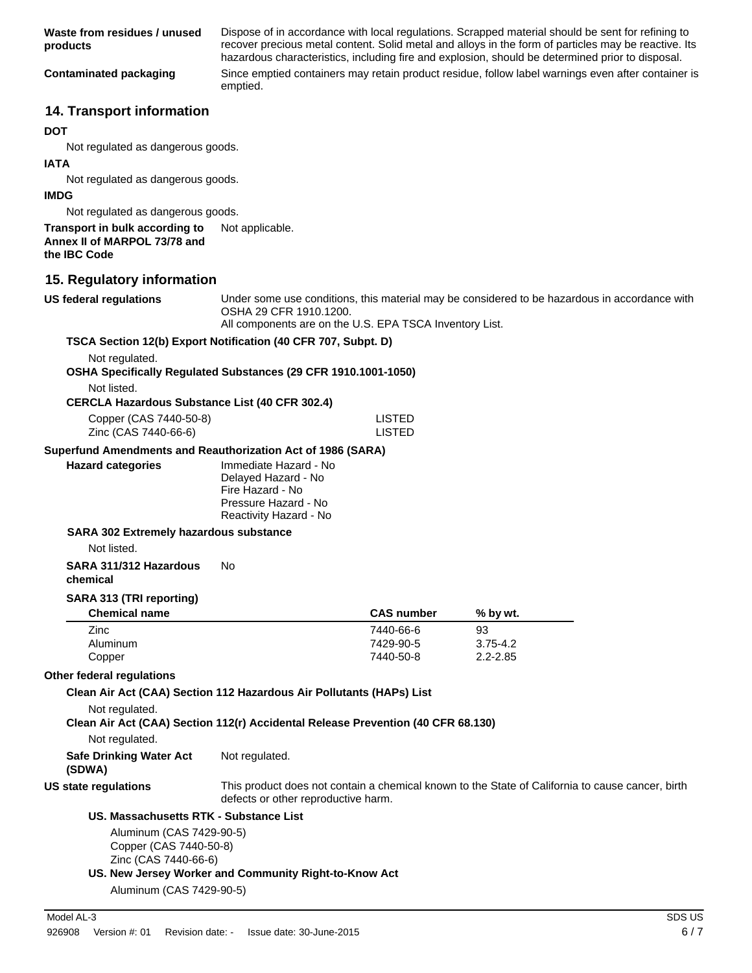|          |  | Waste from residues / unused |
|----------|--|------------------------------|
| products |  |                              |

Dispose of in accordance with local regulations. Scrapped material should be sent for refining to recover precious metal content. Solid metal and alloys in the form of particles may be reactive. Its hazardous characteristics, including fire and explosion, should be determined prior to disposal.

**Contaminated packaging**

Since emptied containers may retain product residue, follow label warnings even after container is emptied.

# **14. Transport information**

#### **DOT**

Not regulated as dangerous goods.

#### **IATA**

Not regulated as dangerous goods.

# **IMDG**

Not regulated as dangerous goods.

**Transport in bulk according to** Not applicable. **Annex II of MARPOL 73/78 and**

**the IBC Code**

#### **15. Regulatory information**

**US federal regulations**

Under some use conditions, this material may be considered to be hazardous in accordance with OSHA 29 CFR 1910.1200.

All components are on the U.S. EPA TSCA Inventory List.

#### **TSCA Section 12(b) Export Notification (40 CFR 707, Subpt. D)**

Not regulated.

#### **OSHA Specifically Regulated Substances (29 CFR 1910.1001-1050)**

Not listed.

#### **CERCLA Hazardous Substance List (40 CFR 302.4)**

| Copper (CAS 7440-50-8) |  | <b>LISTED</b> |
|------------------------|--|---------------|
| Zinc (CAS 7440-66-6)   |  | LISTED        |

#### **Superfund Amendments and Reauthorization Act of 1986 (SARA)**

| <b>Hazard categories</b> | Immediate Hazard - No  |
|--------------------------|------------------------|
|                          | Delayed Hazard - No    |
|                          | Fire Hazard - No       |
|                          | Pressure Hazard - No   |
|                          | Reactivity Hazard - No |

#### **SARA 302 Extremely hazardous substance**

Not listed.

#### **SARA 311/312 Hazardous** No **chemical**

#### **SARA 313 (TRI reporting)**

| <b>Chemical name</b> | <b>CAS number</b> | % by wt.     |  |
|----------------------|-------------------|--------------|--|
| Zinc                 | 7440-66-6         | 93           |  |
| Aluminum             | 7429-90-5         | 3.75-4.2     |  |
| Copper               | 7440-50-8         | $2.2 - 2.85$ |  |

#### **Other federal regulations**

**Clean Air Act (CAA) Section 112 Hazardous Air Pollutants (HAPs) List**

Not regulated.

**Clean Air Act (CAA) Section 112(r) Accidental Release Prevention (40 CFR 68.130)**

Not regulated.

**Safe Drinking Water Act** Not regulated.

**(SDWA)**

**US state regulations**

This product does not contain a chemical known to the State of California to cause cancer, birth defects or other reproductive harm.

#### **US. Massachusetts RTK - Substance List**

Aluminum (CAS 7429-90-5) Copper (CAS 7440-50-8) Zinc (CAS 7440-66-6)

#### **US. New Jersey Worker and Community Right-to-Know Act**

Aluminum (CAS 7429-90-5)